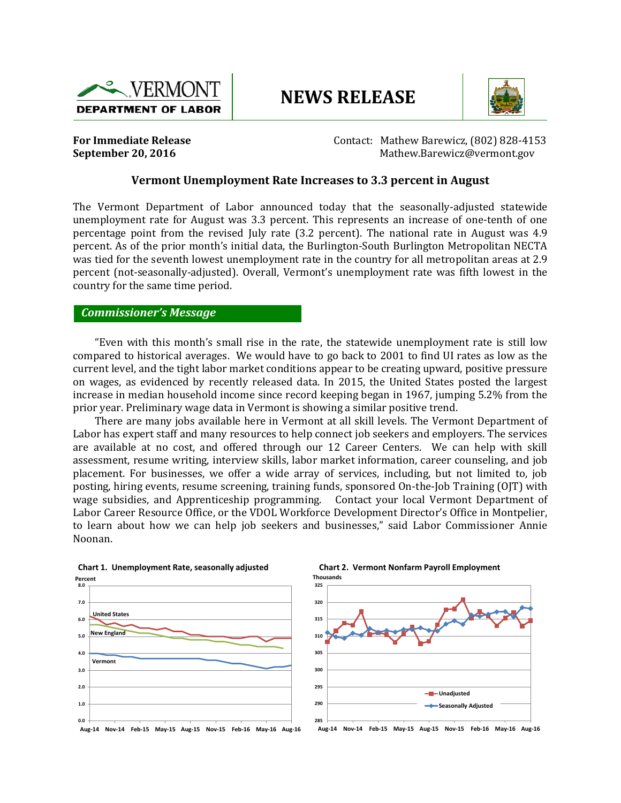

# **NEWS RELEASE**



**For Immediate Release**  Contact: Mathew Barewicz, (802) 828-4153 **September 20, 2016 Constanting Constanting Constanting Constanting Constanting Mathew.Barewicz@vermont.gov** 

#### **Vermont Unemployment Rate Increases to 3.3 percent in August**

The Vermont Department of Labor announced today that the seasonally-adjusted statewide unemployment rate for August was 3.3 percent. This represents an increase of one-tenth of one percentage point from the revised July rate (3.2 percent). The national rate in August was 4.9 percent. As of the prior month's initial data, the Burlington-South Burlington Metropolitan NECTA was tied for the seventh lowest unemployment rate in the country for all metropolitan areas at 2.9 percent (not-seasonally-adjusted). Overall, Vermont's unemployment rate was fifth lowest in the country for the same time period.

#### *Commissioner's Message*

"Even with this month's small rise in the rate, the statewide unemployment rate is still low compared to historical averages. We would have to go back to 2001 to find UI rates as low as the current level, and the tight labor market conditions appear to be creating upward, positive pressure on wages, as evidenced by recently released data. In 2015, the United States posted the largest increase in median household income since record keeping began in 1967, jumping 5.2% from the prior year. Preliminary wage data in Vermont is showing a similar positive trend.

There are many jobs available here in Vermont at all skill levels. The Vermont Department of Labor has expert staff and many resources to help connect job seekers and employers. The services are available at no cost, and offered through our 12 Career Centers. We can help with skill assessment, resume writing, interview skills, labor market information, career counseling, and job placement. For businesses, we offer a wide array of services, including, but not limited to, job posting, hiring events, resume screening, training funds, sponsored On-the-Job Training (OJT) with wage subsidies, and Apprenticeship programming. Contact your local Vermont Department of Labor Career Resource Office, or the VDOL Workforce Development Director's Office in Montpelier, to learn about how we can help job seekers and businesses," said Labor Commissioner Annie Noonan.





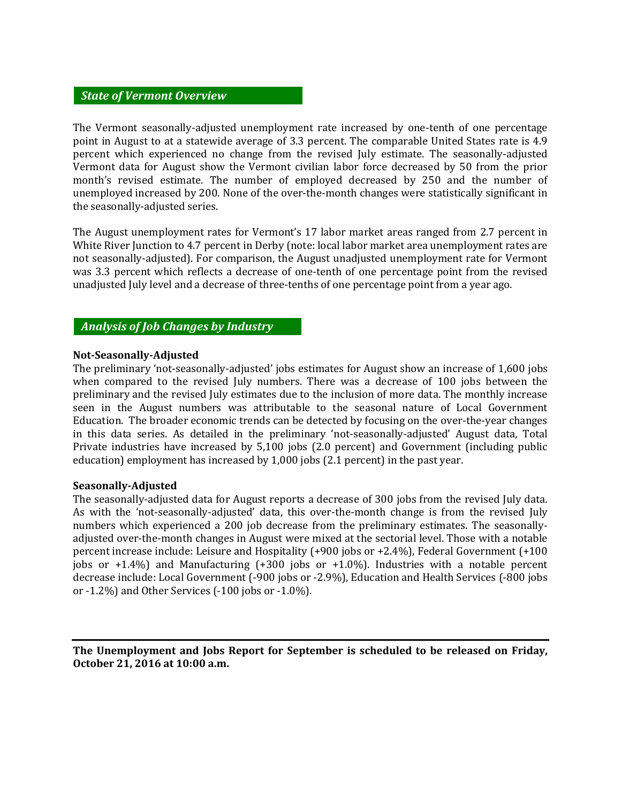### *State of Vermont Overview*

The Vermont seasonally-adjusted unemployment rate increased by one-tenth of one percentage point in August to at a statewide average of 3.3 percent. The comparable United States rate is 4.9 percent which experienced no change from the revised July estimate. The seasonally-adjusted Vermont data for August show the Vermont civilian labor force decreased by 50 from the prior month's revised estimate. The number of employed decreased by 250 and the number of unemployed increased by 200. None of the over-the-month changes were statistically significant in the seasonally-adjusted series.

The August unemployment rates for Vermont's 17 labor market areas ranged from 2.7 percent in White River Junction to 4.7 percent in Derby (note: local labor market area unemployment rates are not seasonally-adjusted). For comparison, the August unadjusted unemployment rate for Vermont was 3.3 percent which reflects a decrease of one-tenth of one percentage point from the revised unadjusted July level and a decrease of three-tenths of one percentage point from a year ago.

## *Analysis of Job Changes by Industry*

#### **Not-Seasonally-Adjusted**

The preliminary 'not-seasonally-adjusted' jobs estimates for August show an increase of 1,600 jobs when compared to the revised July numbers. There was a decrease of 100 jobs between the preliminary and the revised July estimates due to the inclusion of more data. The monthly increase seen in the August numbers was attributable to the seasonal nature of Local Government Education. The broader economic trends can be detected by focusing on the over-the-year changes in this data series. As detailed in the preliminary 'not-seasonally-adjusted' August data, Total Private industries have increased by 5,100 jobs (2.0 percent) and Government (including public education) employment has increased by 1,000 jobs (2.1 percent) in the past year.

#### **Seasonally-Adjusted**

The seasonally-adjusted data for August reports a decrease of 300 jobs from the revised July data. As with the 'not-seasonally-adjusted' data, this over-the-month change is from the revised July numbers which experienced a 200 job decrease from the preliminary estimates. The seasonallyadjusted over-the-month changes in August were mixed at the sectorial level. Those with a notable percent increase include: Leisure and Hospitality (+900 jobs or +2.4%), Federal Government (+100 jobs or  $+1.4\%$ ) and Manufacturing  $(+300$  jobs or  $+1.0\%$ ). Industries with a notable percent decrease include: Local Government (-900 jobs or -2.9%), Education and Health Services (-800 jobs or -1.2%) and Other Services (-100 jobs or -1.0%).

**The Unemployment and Jobs Report for September is scheduled to be released on Friday, October 21, 2016 at 10:00 a.m.**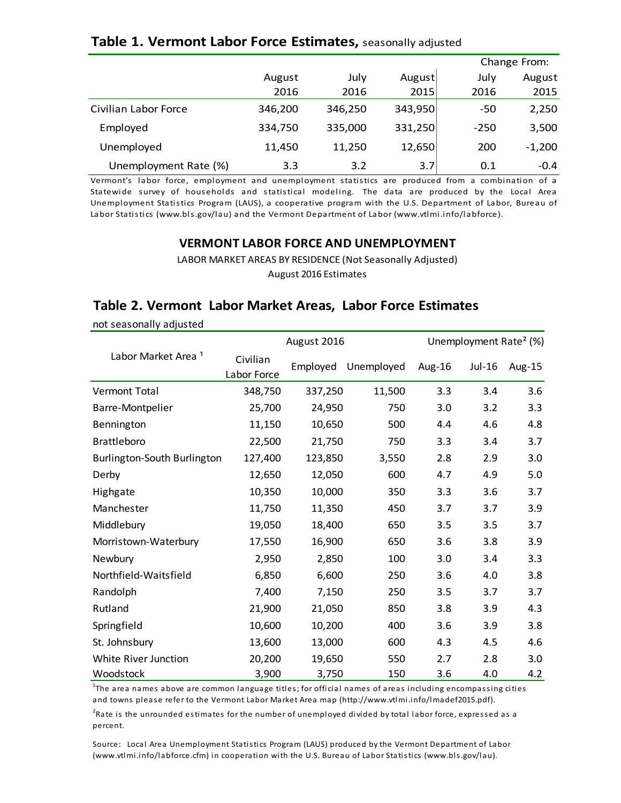# **Table 1. Vermont Labor Force Estimates,** seasonally adjusted

|                                                                                                    |         |         |         |        | Change From: |  |  |  |
|----------------------------------------------------------------------------------------------------|---------|---------|---------|--------|--------------|--|--|--|
|                                                                                                    | August  | July    | August  | July   | August       |  |  |  |
|                                                                                                    | 2016    | 2016    | 2015    | 2016   | 2015         |  |  |  |
| Civilian Labor Force                                                                               | 346,200 | 346,250 | 343,950 | -50    | 2,250        |  |  |  |
| Employed                                                                                           | 334,750 | 335,000 | 331,250 | $-250$ | 3,500        |  |  |  |
| Unemployed                                                                                         | 11,450  | 11,250  | 12,650  | 200    | $-1,200$     |  |  |  |
| Unemployment Rate (%)                                                                              | 3.3     | 3.2     | 3.7     | 0.1    | $-0.4$       |  |  |  |
| Vermont's labor force, employment and unemployment statistics are produced from a combination of a |         |         |         |        |              |  |  |  |
| Statewide survey of households and statistical modeling. The data are produced by the Local Area   |         |         |         |        |              |  |  |  |

Statewide survey of households and statistical modeling. The data are produced from a combination of a<br>Statewide survey of households and statistical modeling. The data are produced by the Local Area<br>Unemployment Statistic Unemployment Rate (%) 3.3 3.2 3.7 0.1 -0.4<br>Vermont's labor force, employment and unemployment statistics are produced from a combination of a<br>Statewide survey of households and statistical modeling. The data are produced b Labor Statistics (www.bls.gov/lau) and the Vermont Department of Labor (www.vtlmi.info/labforce).

## **VERMONT LABOR FORCE AND UNEMPLOYMENT**

LABOR MARKET AREAS BY RESIDENCE (Not Seasonally Adjusted) August 2016 Estimates

## **Table 2. Vermont Labor Market Areas, Labor Force Estimates**

|                                | August 2016             | Unemployment Rate <sup>2</sup> (%) |            |        |          |        |
|--------------------------------|-------------------------|------------------------------------|------------|--------|----------|--------|
| Labor Market Area <sup>1</sup> | Civilian<br>Labor Force | Employed                           | Unemployed | Aug-16 | $Jul-16$ | Aug-15 |
| <b>Vermont Total</b>           | 348,750                 | 337,250                            | 11,500     | 3.3    | 3.4      | 3.6    |
| Barre-Montpelier               | 25,700                  | 24,950                             | 750        | 3.0    | 3.2      | 3.3    |
| Bennington                     | 11,150                  | 10,650                             | 500        | 4.4    | 4.6      | 4.8    |
| <b>Brattleboro</b>             | 22,500                  | 21,750                             | 750        | 3.3    | 3.4      | 3.7    |
| Burlington-South Burlington    | 127,400                 | 123,850                            | 3,550      | 2.8    | 2.9      | 3.0    |
| Derby                          | 12,650                  | 12,050                             | 600        | 4.7    | 4.9      | 5.0    |
| Highgate                       | 10,350                  | 10,000                             | 350        | 3.3    | 3.6      | 3.7    |
| Manchester                     | 11,750                  | 11,350                             | 450        | 3.7    | 3.7      | 3.9    |
| Middlebury                     | 19,050                  | 18,400                             | 650        | 3.5    | 3.5      | 3.7    |
| Morristown-Waterbury           | 17,550                  | 16,900                             | 650        | 3.6    | 3.8      | 3.9    |
| Newbury                        | 2,950                   | 2,850                              | 100        | 3.0    | 3.4      | 3.3    |
| Northfield-Waitsfield          | 6,850                   | 6,600                              | 250        | 3.6    | 4.0      | 3.8    |
| Randolph                       | 7,400                   | 7,150                              | 250        | 3.5    | 3.7      | 3.7    |
| Rutland                        | 21,900                  | 21,050                             | 850        | 3.8    | 3.9      | 4.3    |
| Springfield                    | 10,600                  | 10,200                             | 400        | 3.6    | 3.9      | 3.8    |
| St. Johnsbury                  | 13,600                  | 13,000                             | 600        | 4.3    | 4.5      | 4.6    |
| White River Junction           | 20,200                  | 19,650                             | 550        | 2.7    | 2.8      | 3.0    |
| Woodstock                      | 3,900                   | 3,750                              | 150        | 3.6    | 4.0      | 4.2    |

not seasonally adjusted

<sup>1</sup>The area names above are common language titles; for official names of areas including encompassing cities and towns please refer to the Vermont Labor Market Area map (http://www.vtlmi.info/lmadef2015.pdf).

<sup>2</sup>Rate is the unrounded estimates for the number of unemployed divided by total labor force, expressed as a percent.

Source: Local Area Unemployment Statistics Program (LAUS) produced by the Vermont Department of Labor (www.vtlmi.info/labforce.cfm) in cooperation with the U.S. Bureau of Labor Statistics (www.bls.gov/lau).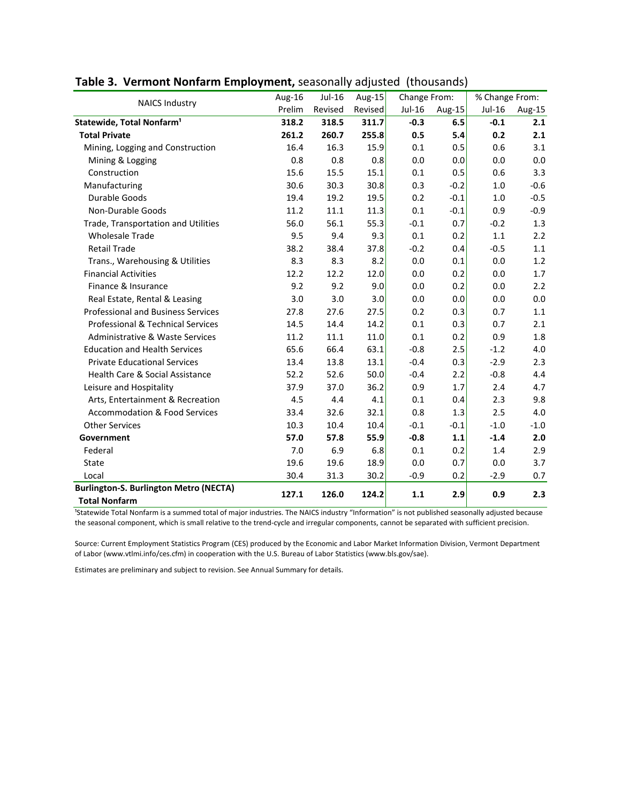| <b>NAICS Industry</b>                         | Aug-16 | Jul-16  | Aug-15  | Change From: |        | % Change From: |        |
|-----------------------------------------------|--------|---------|---------|--------------|--------|----------------|--------|
|                                               | Prelim | Revised | Revised | $Jul-16$     | Aug-15 | Jul-16         | Aug-15 |
| Statewide, Total Nonfarm <sup>1</sup>         | 318.2  | 318.5   | 311.7   | $-0.3$       | 6.5    | $-0.1$         | 2.1    |
| <b>Total Private</b>                          | 261.2  | 260.7   | 255.8   | 0.5          | 5.4    | 0.2            | 2.1    |
| Mining, Logging and Construction              | 16.4   | 16.3    | 15.9    | 0.1          | 0.5    | 0.6            | 3.1    |
| Mining & Logging                              | 0.8    | 0.8     | 0.8     | 0.0          | 0.0    | 0.0            | 0.0    |
| Construction                                  | 15.6   | 15.5    | 15.1    | 0.1          | 0.5    | 0.6            | 3.3    |
| Manufacturing                                 | 30.6   | 30.3    | 30.8    | 0.3          | $-0.2$ | 1.0            | $-0.6$ |
| Durable Goods                                 | 19.4   | 19.2    | 19.5    | 0.2          | $-0.1$ | 1.0            | $-0.5$ |
| Non-Durable Goods                             | 11.2   | 11.1    | 11.3    | 0.1          | $-0.1$ | 0.9            | $-0.9$ |
| Trade, Transportation and Utilities           | 56.0   | 56.1    | 55.3    | $-0.1$       | 0.7    | $-0.2$         | 1.3    |
| <b>Wholesale Trade</b>                        | 9.5    | 9.4     | 9.3     | 0.1          | 0.2    | 1.1            | 2.2    |
| <b>Retail Trade</b>                           | 38.2   | 38.4    | 37.8    | $-0.2$       | 0.4    | $-0.5$         | 1.1    |
| Trans., Warehousing & Utilities               | 8.3    | 8.3     | 8.2     | 0.0          | 0.1    | 0.0            | 1.2    |
| <b>Financial Activities</b>                   | 12.2   | 12.2    | 12.0    | 0.0          | 0.2    | 0.0            | 1.7    |
| Finance & Insurance                           | 9.2    | 9.2     | 9.0     | 0.0          | 0.2    | 0.0            | 2.2    |
| Real Estate, Rental & Leasing                 | 3.0    | 3.0     | 3.0     | 0.0          | 0.0    | 0.0            | 0.0    |
| <b>Professional and Business Services</b>     | 27.8   | 27.6    | 27.5    | 0.2          | 0.3    | 0.7            | 1.1    |
| <b>Professional &amp; Technical Services</b>  | 14.5   | 14.4    | 14.2    | 0.1          | 0.3    | 0.7            | 2.1    |
| <b>Administrative &amp; Waste Services</b>    | 11.2   | 11.1    | 11.0    | 0.1          | 0.2    | 0.9            | 1.8    |
| <b>Education and Health Services</b>          | 65.6   | 66.4    | 63.1    | $-0.8$       | 2.5    | $-1.2$         | 4.0    |
| <b>Private Educational Services</b>           | 13.4   | 13.8    | 13.1    | $-0.4$       | 0.3    | $-2.9$         | 2.3    |
| <b>Health Care &amp; Social Assistance</b>    | 52.2   | 52.6    | 50.0    | $-0.4$       | 2.2    | $-0.8$         | 4.4    |
| Leisure and Hospitality                       | 37.9   | 37.0    | 36.2    | 0.9          | 1.7    | 2.4            | 4.7    |
| Arts, Entertainment & Recreation              | 4.5    | 4.4     | 4.1     | 0.1          | 0.4    | 2.3            | 9.8    |
| <b>Accommodation &amp; Food Services</b>      | 33.4   | 32.6    | 32.1    | 0.8          | 1.3    | 2.5            | 4.0    |
| <b>Other Services</b>                         | 10.3   | 10.4    | 10.4    | $-0.1$       | $-0.1$ | $-1.0$         | $-1.0$ |
| Government                                    | 57.0   | 57.8    | 55.9    | $-0.8$       | 1.1    | $-1.4$         | 2.0    |
| Federal                                       | 7.0    | 6.9     | 6.8     | $0.1\,$      | 0.2    | 1.4            | 2.9    |
| State                                         | 19.6   | 19.6    | 18.9    | 0.0          | 0.7    | 0.0            | 3.7    |
| Local                                         | 30.4   | 31.3    | 30.2    | $-0.9$       | 0.2    | $-2.9$         | 0.7    |
| <b>Burlington-S. Burlington Metro (NECTA)</b> | 127.1  | 126.0   | 124.2   | 1.1          | 2.9    | 0.9            | 2.3    |
| <b>Total Nonfarm</b>                          |        |         |         |              |        |                |        |

**Table 3. Vermont Nonfarm Employment,** seasonally adjusted (thousands)

<sup>1</sup>Statewide Total Nonfarm is a summed total of major industries. The NAICS industry "Information" is not published seasonally adjusted because the seasonal component, which is small relative to the trend-cycle and irregular components, cannot be separated with sufficient precision.

Source: Current Employment Statistics Program (CES) produced by the Economic and Labor Market Information Division, Vermont Department of Labor (www.vtlmi.info/ces.cfm) in cooperation with the U.S. Bureau of Labor Statistics (www.bls.gov/sae).

Estimates are preliminary and subject to revision. See Annual Summary for details.